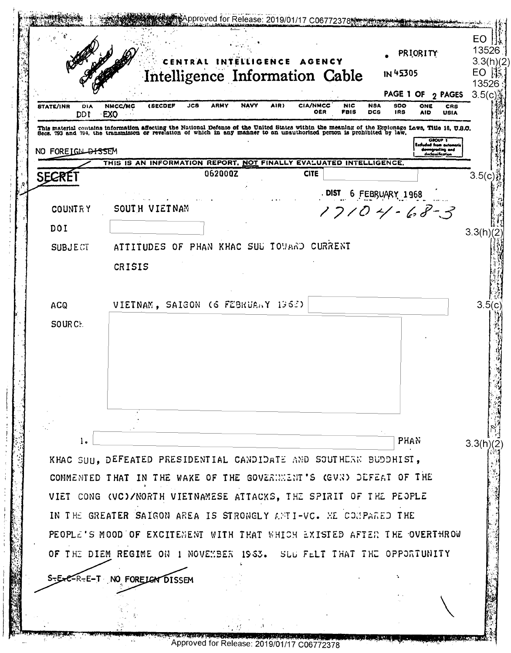Approved for Release: 2019/01/17 C06772378 13526 **PRIORITY** CENTRAL INTELLIGENCE AGENCY  $3.3(h)/2$ Intelligence Information Cable IN 45305 EO  $\mathbb{R}$ 13526 **PAGE 1 OF**  $\sigma$  **PAGES** 3.5(c) STATE/INR NMCC/MC **(SECDEP**  $JCA$ **ARMY NAVY** AIR) **CIA/NMCC**  $500$ ONE DIA **NIC NSA**  $CRR$ ORR FBIS **DCS** 189 AID USIA DDT EXO This material contains information affecting the National Defense of the United States within the meaning of the Espionage Laws, Title 18, U.S.O.<br>Secs. 793 and 794, the transmisson or revelation of which in any manner to a NO FOREIGN DISSEM THIS IS AN INFORMATION REPORT, NOT FINALLY EVALUATED INTELLIGENCE. 062000Z **CITE SECRET**  $3.5(c)$ DIST 6 FEBRUARY 1968  $17104 - 68 - 3$ **COUNTRY** SOUTH VIETNAM DOI  $3.3(h)(2)$ ATTITUDES OF PHAN KHAC SUL TOUARD CURRENT **SUBJECT** CRISIS VIETNAM, SAIGON (6 FEBRUARY 1968)  $3.5(c)$ **ACQ** SOURCE. **PHAN**  $\mathbf{1}$  $3.3(h)(2)$ KHAC SUH. DEFEATED PRESIDENTIAL CANDIDATE AND SOUTHERN BUDDHIST. COMMENTED THAT IN THE WAKE OF THE GOVERNMENT'S (GVN) DEFEAT OF THE VIET CONG (VC)/NORTH VIETNAMESE ATTACKS, THE SPIRIT OF THE PEOPLE IN THE GREATER SAIGON AREA IS STRONGLY ANTI-VC. ME COMPARED THE PEOPLE'S MOOD OF EXCITENENT WITH THAT WHICH EXISTED AFTER THE OVERTHROW OF THE DIEM REGIME ON 1 NOVEMBER 1963. SUG FELT THAT THE OPPORTUNITY NO FORELOW DISSEM -E-T